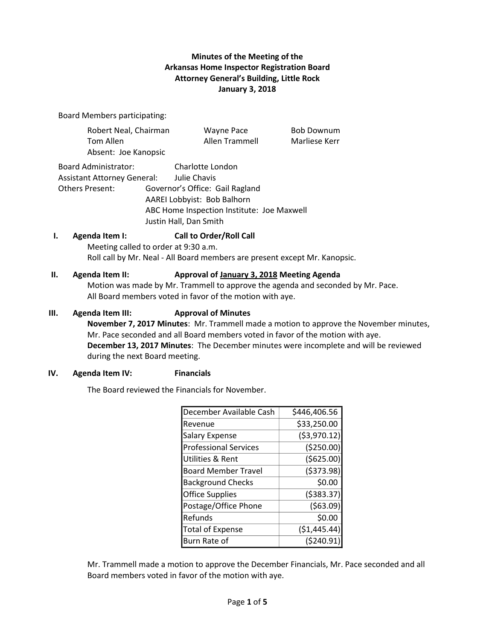# **Minutes of the Meeting of the Arkansas Home Inspector Registration Board Attorney General's Building, Little Rock January 3, 2018**

Board Members participating:

|    | Robert Neal, Chairman                                                                                                                                                                                        | Wayne Pace                                                                                                                                                 | <b>Bob Downum</b> |  |
|----|--------------------------------------------------------------------------------------------------------------------------------------------------------------------------------------------------------------|------------------------------------------------------------------------------------------------------------------------------------------------------------|-------------------|--|
|    | Tom Allen                                                                                                                                                                                                    | Allen Trammell                                                                                                                                             | Marliese Kerr     |  |
|    | Absent: Joe Kanopsic                                                                                                                                                                                         |                                                                                                                                                            |                   |  |
|    | Board Administrator:<br>Assistant Attorney General: Julie Chavis<br>Others Present:                                                                                                                          | Charlotte London<br>Governor's Office: Gail Ragland<br>AAREI Lobbyist: Bob Balhorn<br>ABC Home Inspection Institute: Joe Maxwell<br>Justin Hall, Dan Smith |                   |  |
| ı. | Agenda Item I:<br>Meeting called to order at 9:30 a.m.                                                                                                                                                       | <b>Call to Order/Roll Call</b><br>Roll call by Mr. Neal - All Board members are present except Mr. Kanopsic.                                               |                   |  |
| Н. | Agenda Item II:<br>Approval of January 3, 2018 Meeting Agenda<br>Motion was made by Mr. Trammell to approve the agenda and seconded by Mr. Pace.<br>All Board members voted in favor of the motion with aye. |                                                                                                                                                            |                   |  |
| Ш. | <b>Agenda Item III:</b>                                                                                                                                                                                      | <b>Approval of Minutes</b>                                                                                                                                 |                   |  |

**November 7, 2017 Minutes**: Mr. Trammell made a motion to approve the November minutes, Mr. Pace seconded and all Board members voted in favor of the motion with aye. **December 13, 2017 Minutes**: The December minutes were incomplete and will be reviewed during the next Board meeting.

### **IV. Agenda Item IV: Financials**

The Board reviewed the Financials for November.

| December Available Cash      | \$446,406.56  |  |  |
|------------------------------|---------------|--|--|
| Revenue                      | \$33,250.00   |  |  |
| <b>Salary Expense</b>        | ( \$3,970.12) |  |  |
| <b>Professional Services</b> | ( \$250.00)   |  |  |
| Utilities & Rent             | (5625.00)     |  |  |
| <b>Board Member Travel</b>   | (5373.98)     |  |  |
| <b>Background Checks</b>     | \$0.00        |  |  |
| <b>Office Supplies</b>       | (5383.37)     |  |  |
| Postage/Office Phone         | (563.09)      |  |  |
| Refunds                      | \$0.00        |  |  |
| <b>Total of Expense</b>      | ( \$1,445.44) |  |  |
| Burn Rate of                 | (5240.91)     |  |  |

Mr. Trammell made a motion to approve the December Financials, Mr. Pace seconded and all Board members voted in favor of the motion with aye.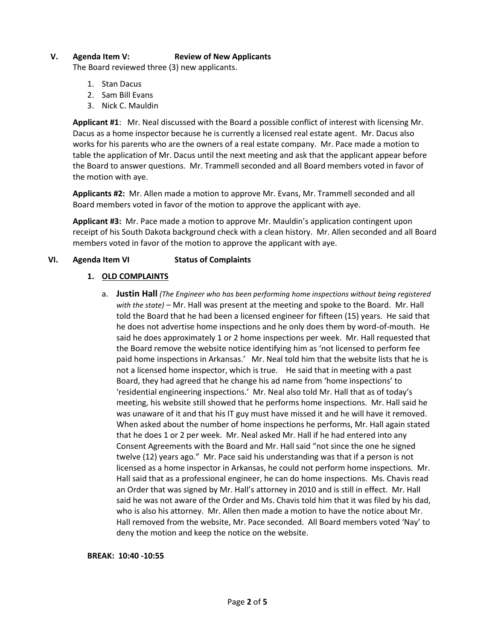## **V. Agenda Item V: Review of New Applicants**

The Board reviewed three (3) new applicants.

- 1. Stan Dacus
- 2. Sam Bill Evans
- 3. Nick C. Mauldin

**Applicant #1**: Mr. Neal discussed with the Board a possible conflict of interest with licensing Mr. Dacus as a home inspector because he is currently a licensed real estate agent. Mr. Dacus also works for his parents who are the owners of a real estate company. Mr. Pace made a motion to table the application of Mr. Dacus until the next meeting and ask that the applicant appear before the Board to answer questions. Mr. Trammell seconded and all Board members voted in favor of the motion with aye.

**Applicants #2:** Mr. Allen made a motion to approve Mr. Evans, Mr. Trammell seconded and all Board members voted in favor of the motion to approve the applicant with aye.

**Applicant #3:** Mr. Pace made a motion to approve Mr. Mauldin's application contingent upon receipt of his South Dakota background check with a clean history. Mr. Allen seconded and all Board members voted in favor of the motion to approve the applicant with aye.

## **VI. Agenda Item VI Status of Complaints**

### **1. OLD COMPLAINTS**

a. **Justin Hall** *(The Engineer who has been performing home inspections without being registered with the state)* – Mr. Hall was present at the meeting and spoke to the Board. Mr. Hall told the Board that he had been a licensed engineer for fifteen (15) years. He said that he does not advertise home inspections and he only does them by word-of-mouth. He said he does approximately 1 or 2 home inspections per week. Mr. Hall requested that the Board remove the website notice identifying him as 'not licensed to perform fee paid home inspections in Arkansas.' Mr. Neal told him that the website lists that he is not a licensed home inspector, which is true. He said that in meeting with a past Board, they had agreed that he change his ad name from 'home inspections' to 'residential engineering inspections.' Mr. Neal also told Mr. Hall that as of today's meeting, his website still showed that he performs home inspections. Mr. Hall said he was unaware of it and that his IT guy must have missed it and he will have it removed. When asked about the number of home inspections he performs, Mr. Hall again stated that he does 1 or 2 per week. Mr. Neal asked Mr. Hall if he had entered into any Consent Agreements with the Board and Mr. Hall said "not since the one he signed twelve (12) years ago." Mr. Pace said his understanding was that if a person is not licensed as a home inspector in Arkansas, he could not perform home inspections. Mr. Hall said that as a professional engineer, he can do home inspections. Ms. Chavis read an Order that was signed by Mr. Hall's attorney in 2010 and is still in effect. Mr. Hall said he was not aware of the Order and Ms. Chavis told him that it was filed by his dad, who is also his attorney. Mr. Allen then made a motion to have the notice about Mr. Hall removed from the website, Mr. Pace seconded. All Board members voted 'Nay' to deny the motion and keep the notice on the website.

#### **BREAK: 10:40 -10:55**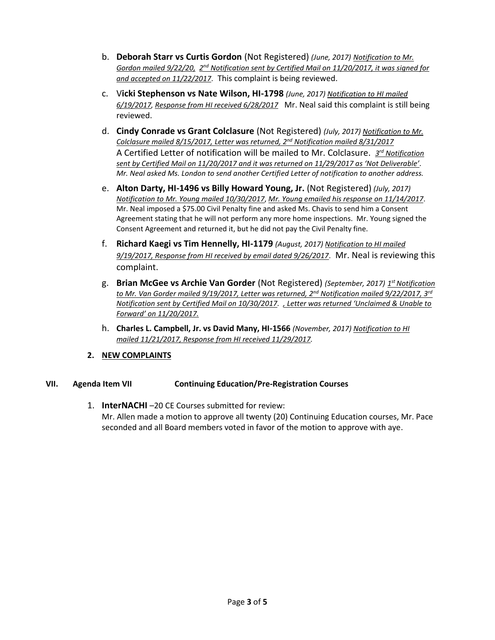- b. **Deborah Starr vs Curtis Gordon** (Not Registered) *(June, 2017) Notification to Mr. Gordon mailed 9/22/20, 2<sup>nd</sup> Notification sent by Certified Mail on 11/20/2017, it was signed for and accepted on 11/22/2017*. This complaint is being reviewed.
- c. V**icki Stephenson vs Nate Wilson, HI-1798** *(June, 2017) Notification to HI mailed 6/19/2017, Response from HI received 6/28/2017* Mr. Neal said this complaint is still being reviewed.
- d. **Cindy Conrade vs Grant Colclasure** (Not Registered) *(July, 2017) Notification to Mr. Colclasure mailed 8/15/2017, Letter was returned, 2nd Notification mailed 8/31/2017* A Certified Letter of notification will be mailed to Mr. Colclasure. *3 rd Notification sent by Certified Mail on 11/20/2017 and it was returned on 11/29/2017 as 'Not Deliverable'. Mr. Neal asked Ms. London to send another Certified Letter of notification to another address.*
- e. **Alton Darty, HI-1496 vs Billy Howard Young, Jr.** (Not Registered) *(July, 2017) Notification to Mr. Young mailed 10/30/2017*, *Mr. Young emailed his response on 11/14/2017*. Mr. Neal imposed a \$75.00 Civil Penalty fine and asked Ms. Chavis to send him a Consent Agreement stating that he will not perform any more home inspections. Mr. Young signed the Consent Agreement and returned it, but he did not pay the Civil Penalty fine.
- f. **Richard Kaegi vs Tim Hennelly, HI-1179** *(August, 2017) Notification to HI mailed 9/19/2017, Response from HI received by email dated 9/26/2017*. Mr. Neal is reviewing this complaint.
- g. **Brian McGee vs Archie Van Gorder** (Not Registered) *(September, 2017) 1 stNotification to Mr. Van Gorder mailed 9/19/2017, Letter was returned, 2nd Notification mailed 9/22/2017, 3rd Notification sent by Certified Mail on 10/30/2017. , Letter was returned 'Unclaimed & Unable to Forward' on 11/20/2017.*
- h. **Charles L. Campbell, Jr. vs David Many, HI-1566** *(November, 2017) Notification to HI mailed 11/21/2017, Response from HI received 11/29/2017.*
- **2. NEW COMPLAINTS**

# **VII. Agenda Item VII Continuing Education/Pre-Registration Courses**

1. **InterNACHI** –20 CE Courses submitted for review: Mr. Allen made a motion to approve all twenty (20) Continuing Education courses, Mr. Pace seconded and all Board members voted in favor of the motion to approve with aye.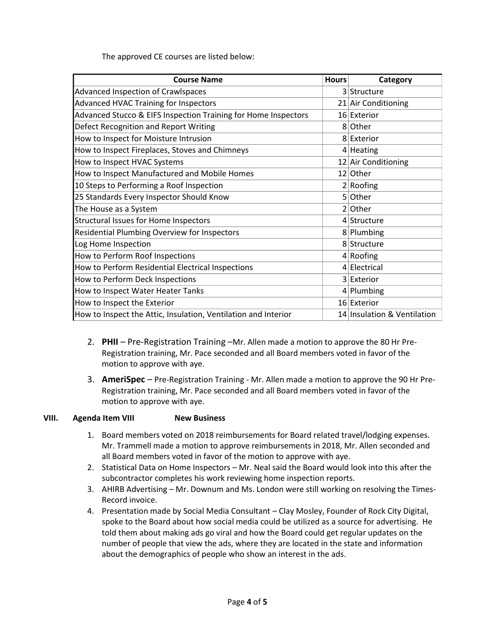The approved CE courses are listed below:

| <b>Course Name</b>                                             | <b>Hours</b> | Category                    |
|----------------------------------------------------------------|--------------|-----------------------------|
| Advanced Inspection of Crawlspaces                             |              | 3 Structure                 |
| <b>Advanced HVAC Training for Inspectors</b>                   |              | 21 Air Conditioning         |
| Advanced Stucco & EIFS Inspection Training for Home Inspectors |              | 16 Exterior                 |
| Defect Recognition and Report Writing                          |              | 8 Other                     |
| How to Inspect for Moisture Intrusion                          |              | 8 Exterior                  |
| How to Inspect Fireplaces, Stoves and Chimneys                 |              | $4$ Heating                 |
| How to Inspect HVAC Systems                                    |              | 12 Air Conditioning         |
| How to Inspect Manufactured and Mobile Homes                   |              | 12 Other                    |
| 10 Steps to Performing a Roof Inspection                       |              | 2 Rooting                   |
| 25 Standards Every Inspector Should Know                       |              | 5 Other                     |
| The House as a System                                          |              | $2$ Other                   |
| <b>Structural Issues for Home Inspectors</b>                   |              | 4 Structure                 |
| Residential Plumbing Overview for Inspectors                   |              | 8 Plumbing                  |
| Log Home Inspection                                            |              | 8 Structure                 |
| How to Perform Roof Inspections                                |              | 4 Rooting                   |
| How to Perform Residential Electrical Inspections              |              | 4 Electrical                |
| How to Perform Deck Inspections                                |              | 3 Exterior                  |
| How to Inspect Water Heater Tanks                              |              | $4$ Plumbing                |
| How to Inspect the Exterior                                    |              | 16 Exterior                 |
| How to Inspect the Attic, Insulation, Ventilation and Interior |              | 14 Insulation & Ventilation |

- 2. **PHII** Pre-Registration Training –Mr. Allen made a motion to approve the 80 Hr Pre-Registration training, Mr. Pace seconded and all Board members voted in favor of the motion to approve with aye.
- 3. **AmeriSpec** Pre-Registration Training Mr. Allen made a motion to approve the 90 Hr Pre-Registration training, Mr. Pace seconded and all Board members voted in favor of the motion to approve with aye.

### **VIII. Agenda Item VIII New Business**

- 1. Board members voted on 2018 reimbursements for Board related travel/lodging expenses. Mr. Trammell made a motion to approve reimbursements in 2018, Mr. Allen seconded and all Board members voted in favor of the motion to approve with aye.
- 2. Statistical Data on Home Inspectors Mr. Neal said the Board would look into this after the subcontractor completes his work reviewing home inspection reports.
- 3. AHIRB Advertising Mr. Downum and Ms. London were still working on resolving the Times-Record invoice.
- 4. Presentation made by Social Media Consultant Clay Mosley, Founder of Rock City Digital, spoke to the Board about how social media could be utilized as a source for advertising. He told them about making ads go viral and how the Board could get regular updates on the number of people that view the ads, where they are located in the state and information about the demographics of people who show an interest in the ads.